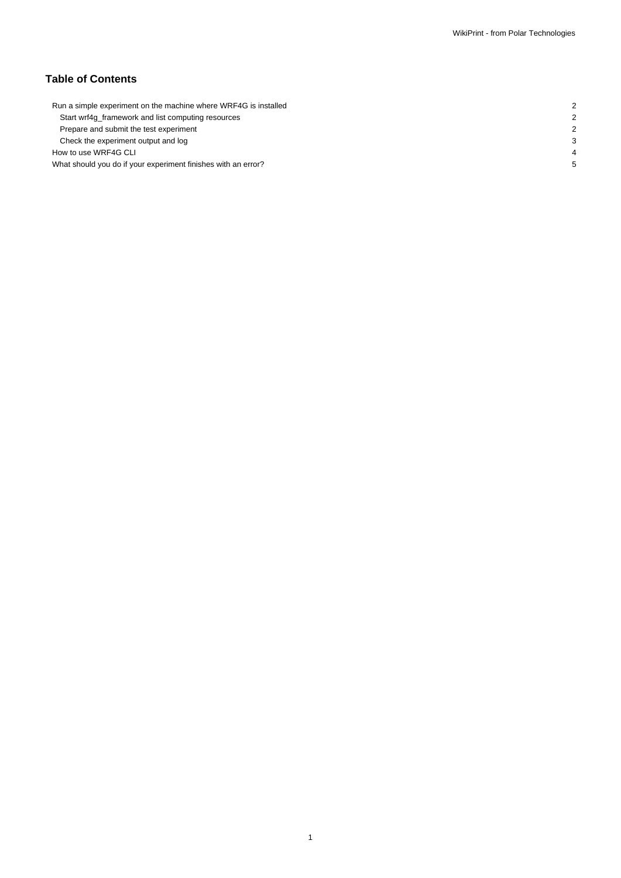# **Table of Contents**

| Run a simple experiment on the machine where WRF4G is installed |  |
|-----------------------------------------------------------------|--|
| Start wrf4g_framework and list computing resources              |  |
| Prepare and submit the test experiment                          |  |
| Check the experiment output and log                             |  |
| How to use WRF4G CLI                                            |  |
| What should you do if your experiment finishes with an error?   |  |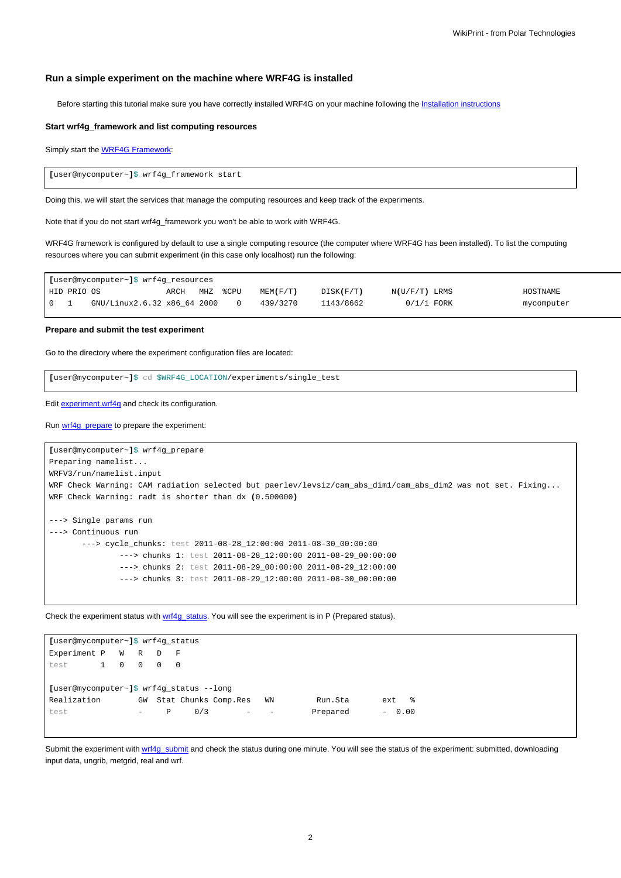### **Run a simple experiment on the machine where WRF4G is installed**

Before starting this tutorial make sure you have correctly installed WRF4G on your machine following the [Installation instructions](https://meteo.unican.es/trac/wiki/WRF4GInstall)

#### **Start wrf4g\_framework and list computing resources**

Simply start the **WRF4G Framework:** 

**[**user@mycomputer~**]**\$ wrf4g\_framework start

Doing this, we will start the services that manage the computing resources and keep track of the experiments.

Note that if you do not start wrf4g\_framework you won't be able to work with WRF4G.

WRF4G framework is configured by default to use a single computing resource (the computer where WRF4G has been installed). To list the computing resources where you can submit experiment (in this case only localhost) run the following:

|       |             | [user@mycomputer~]\$ wrf4g_resources |      |                 |      |                |           |                 |            |
|-------|-------------|--------------------------------------|------|-----------------|------|----------------|-----------|-----------------|------------|
|       | HID PRIO OS |                                      | ARCH | MH <sub>Z</sub> | %CPU | $MENT$ $(F/T)$ | DISK(F/T) | $N(U/F/T)$ LRMS | HOSTNAME   |
| I 0 1 |             | GNU/Linux2.6.32 x86 64 2000          |      |                 |      | 439/3270       | 1143/8662 | $0/1/1$ FORK    | mycomputer |

**Prepare and submit the test experiment**

Go to the directory where the experiment configuration files are located:

**[**user@mycomputer~**]**\$ cd \$WRF4G\_LOCATION/experiments/single\_test

Edit [experiment.wrf4g](https://meteo.unican.es/trac/wiki/WRF4Gexperiment_wrf4g) and check its configuration.

Run [wrf4g\\_prepare](https://meteo.unican.es/trac/wiki/WRF4GCommandLineTools#wrf4g_prepare) to prepare the experiment:

```
[user@mycomputer~]$ wrf4g_prepare
Preparing namelist...
WRFV3/run/namelist.input
WRF Check Warning: CAM radiation selected but paerlev/levsiz/cam_abs_dim1/cam_abs_dim2 was not set. Fixing...
WRF Check Warning: radt is shorter than dx (0.500000)
---> Single params run
---> Continuous run
       ---> cycle_chunks: test 2011-08-28_12:00:00 2011-08-30_00:00:00
               ---> chunks 1: test 2011-08-28_12:00:00 2011-08-29_00:00:00
               ---> chunks 2: test 2011-08-29_00:00:00 2011-08-29_12:00:00
               ---> chunks 3: test 2011-08-29_12:00:00 2011-08-30_00:00:00
```
Check the experiment status with [wrf4g\\_status.](https://meteo.unican.es/trac/wiki/WRF4GCommandLineTools#wrf4g_status) You will see the experiment is in P (Prepared status).

| [user@mycomputer~]\$ wrf4q status        |   |                |                          |          |                      |                          |                          |          |         |  |  |  |  |
|------------------------------------------|---|----------------|--------------------------|----------|----------------------|--------------------------|--------------------------|----------|---------|--|--|--|--|
| Experiment P W R                         |   |                |                          | D        | F                    |                          |                          |          |         |  |  |  |  |
| test                                     | 1 | $\overline{0}$ | $\overline{0}$           | $\Omega$ | $\Omega$             |                          |                          |          |         |  |  |  |  |
|                                          |   |                |                          |          |                      |                          |                          |          |         |  |  |  |  |
| [user@mycomputer~]\$ wrf4g_status --long |   |                |                          |          |                      |                          |                          |          |         |  |  |  |  |
| Realization                              |   |                | GW                       |          | Stat Chunks Comp.Res |                          | WN                       | Run.Sta  | ext %   |  |  |  |  |
| test                                     |   |                | $\overline{\phantom{0}}$ | P        | 0/3                  | $\overline{\phantom{0}}$ | $\overline{\phantom{a}}$ | Prepared | $-0.00$ |  |  |  |  |
|                                          |   |                |                          |          |                      |                          |                          |          |         |  |  |  |  |

Submit the experiment with [wrf4g\\_submit](https://meteo.unican.es/trac/wiki/WRF4GCommandLineTools#wrf4g_submit) and check the status during one minute. You will see the status of the experiment: submitted, downloading input data, ungrib, metgrid, real and wrf.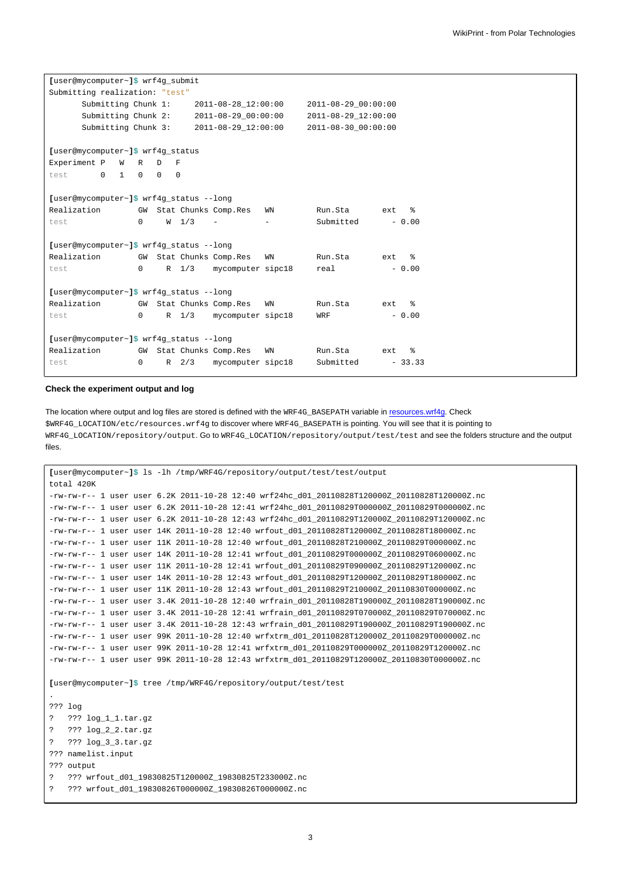| [user@mycomputer~]\$ wrf4q submit        |              |          |                  |                         |    |                     |                   |  |  |
|------------------------------------------|--------------|----------|------------------|-------------------------|----|---------------------|-------------------|--|--|
| Submitting realization: "test"           |              |          |                  |                         |    |                     |                   |  |  |
| Submitting Chunk 1:                      |              |          |                  | 2011-08-28 12:00:00     |    | 2011-08-29_00:00:00 |                   |  |  |
| Submitting Chunk 2:                      |              |          |                  | 2011-08-29 00:00:00     |    | 2011-08-29 12:00:00 |                   |  |  |
| Submitting Chunk 3:                      |              |          |                  | 2011-08-29 12:00:00     |    | 2011-08-30 00:00:00 |                   |  |  |
|                                          |              |          |                  |                         |    |                     |                   |  |  |
| [user@mycomputer~]\$ wrf4q status        |              |          |                  |                         |    |                     |                   |  |  |
| Experiment P<br>W<br>R<br>D<br>F         |              |          |                  |                         |    |                     |                   |  |  |
| $\mathbf{1}$<br>test<br>$\Omega$         | $\Omega$     | $\Omega$ | $\Omega$         |                         |    |                     |                   |  |  |
|                                          |              |          |                  |                         |    |                     |                   |  |  |
| [user@mycomputer~]\$ wrf4g_status --long |              |          |                  |                         |    |                     |                   |  |  |
| Realization                              |              |          |                  | GW Stat Chunks Comp.Res | WN | Run.Sta             | $\approx$<br>ext  |  |  |
| test                                     | $\mathbf{0}$ |          | W <sub>1/3</sub> |                         |    | Submitted           | $-0.00$           |  |  |
|                                          |              |          |                  |                         |    |                     |                   |  |  |
| [user@mycomputer~]\$ wrf4q status --long |              |          |                  |                         |    |                     |                   |  |  |
| Realization                              |              |          |                  | GW Stat Chunks Comp.Res | WN | Run.Sta             | $\epsilon$<br>ext |  |  |
| test                                     | 0            |          | $R$ 1/3          | mycomputer sipc18       |    | real                | $-0.00$           |  |  |
|                                          |              |          |                  |                         |    |                     |                   |  |  |
| [user@mycomputer~]\$ wrf4g_status --long |              |          |                  |                         |    |                     |                   |  |  |
| Realization                              |              |          |                  | GW Stat Chunks Comp.Res | WN | Run.Sta             | $\epsilon$<br>ext |  |  |
| test                                     | $\mathbf{0}$ |          | $R$ 1/3          | mycomputer sipc18       |    | WRF                 | $-0.00$           |  |  |
|                                          |              |          |                  |                         |    |                     |                   |  |  |
| [user@mycomputer~]\$ wrf4q status --long |              |          |                  |                         |    |                     |                   |  |  |
| Realization                              |              |          |                  | GW Stat Chunks Comp.Res | WN | Run.Sta             | ႜ<br>ext          |  |  |
| test                                     | 0            |          | $R$ 2/3          | mycomputer sipc18       |    | Submitted           | $-33.33$          |  |  |

#### **Check the experiment output and log**

The location where output and log files are stored is defined with the WRF4G\_BASEPATH variable in [resources.wrf4g.](https://meteo.unican.es/trac/wiki/WRF4Gresources_wrf4g) Check \$WRF4G\_LOCATION/etc/resources.wrf4g to discover where WRF4G\_BASEPATH is pointing. You will see that it is pointing to WRF4G\_LOCATION/repository/output. Go to WRF4G\_LOCATION/repository/output/test/test and see the folders structure and the output files.

```
[user@mycomputer~]$ ls -lh /tmp/WRF4G/repository/output/test/test/output
total 420K
-rw-rw-r-- 1 user user 6.2K 2011-10-28 12:40 wrf24hc_d01_20110828T120000Z_20110828T120000Z.nc
-rw-rw-r-- 1 user user 6.2K 2011-10-28 12:41 wrf24hc_d01_20110829T000000Z_20110829T000000Z.nc
-rw-rw-r-- 1 user user 6.2K 2011-10-28 12:43 wrf24hc_d01_20110829T120000Z_20110829T120000Z.nc
-rw-rw-r-- 1 user user 14K 2011-10-28 12:40 wrfout_d01_20110828T120000Z_20110828T180000Z.nc
-rw-rw-r-- 1 user user 11K 2011-10-28 12:40 wrfout_d01_20110828T210000Z_20110829T000000Z.nc
-rw-rw-r-- 1 user user 14K 2011-10-28 12:41 wrfout_d01_20110829T000000Z_20110829T060000Z.nc
-rw-rw-r-- 1 user user 11K 2011-10-28 12:41 wrfout_d01_20110829T090000Z_20110829T120000Z.nc
-rw-rw-r-- 1 user user 14K 2011-10-28 12:43 wrfout_d01_20110829T120000Z_20110829T180000Z.nc
-rw-rw-r-- 1 user user 11K 2011-10-28 12:43 wrfout_d01_20110829T210000Z_20110830T000000Z.nc
-rw-rw-r-- 1 user user 3.4K 2011-10-28 12:40 wrfrain_d01_20110828T190000Z_20110828T190000Z.nc
-rw-rw-r-- 1 user user 3.4K 2011-10-28 12:41 wrfrain_d01_20110829T070000Z_20110829T070000Z.nc
-rw-rw-r-- 1 user user 3.4K 2011-10-28 12:43 wrfrain_d01_20110829T190000Z_20110829T190000Z.nc
-rw-rw-r-- 1 user user 99K 2011-10-28 12:40 wrfxtrm_d01_20110828T120000Z_20110829T000000Z.nc
-rw-rw-r-- 1 user user 99K 2011-10-28 12:41 wrfxtrm_d01_20110829T000000Z_20110829T120000Z.nc
-rw-rw-r-- 1 user user 99K 2011-10-28 12:43 wrfxtrm_d01_20110829T120000Z_20110830T000000Z.nc
[user@mycomputer~]$ tree /tmp/WRF4G/repository/output/test/test
.
??? log
? ??? log_1_1.tar.gz
? ??? log_2_2.tar.gz
? ??? log_3_3.tar.gz
??? namelist.input
??? output
? ??? wrfout_d01_19830825T120000Z_19830825T233000Z.nc
? ??? wrfout_d01_19830826T000000Z_19830826T000000Z.nc
```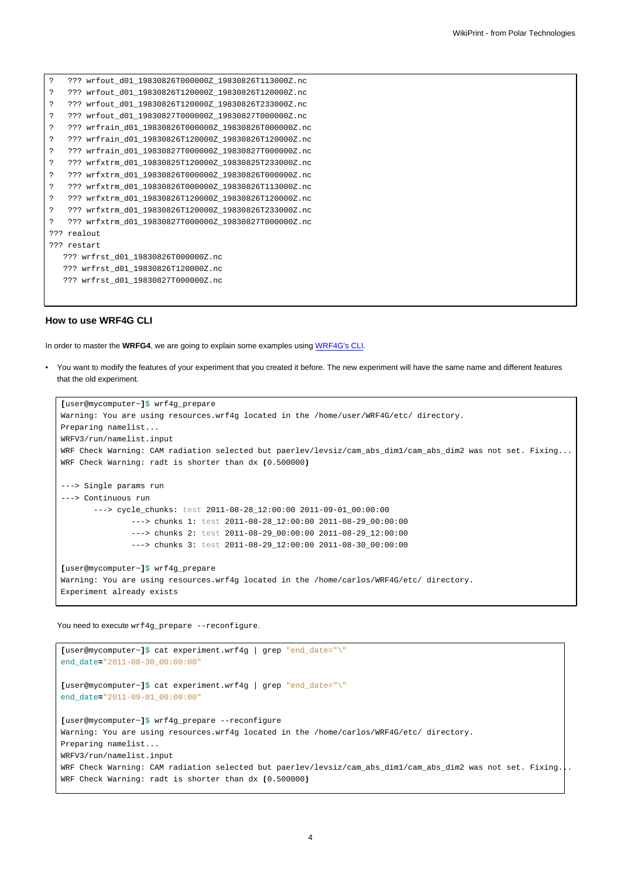| 2   |             | ??? wrfout_d01_19830826T000000Z_19830826T113000Z.nc  |
|-----|-------------|------------------------------------------------------|
| 2   |             | ??? wrfout d01 19830826T120000Z 19830826T120000Z.nc  |
| 2   |             | ??? wrfout d01 19830826T120000Z 19830826T233000Z.nc  |
| 2   |             | ??? wrfout d01 19830827T0000002 19830827T0000002.nc  |
| 2   |             | ??? wrfrain d01 19830826T000000Z 19830826T000000Z.nc |
| 2   |             | ??? wrfrain d01 19830826T120000Z 19830826T120000Z.nc |
| 2   |             | ??? wrfrain d01 19830827T000000Z 19830827T000000Z.nc |
| 2   |             | ??? wrfxtrm d01 19830825T120000Z 19830825T233000Z.nc |
| 2   |             | ??? wrfxtrm d01 19830826T0000002 19830826T0000002.nc |
| 2   |             | ??? wrfxtrm d01 19830826T0000002 19830826T113000Z.nc |
| 2   |             | ??? wrfxtrm d01 19830826T120000Z 19830826T120000Z.nc |
| 2   |             | ??? wrfxtrm d01 19830826T120000Z 19830826T233000Z.nc |
| 2   |             | ??? wrfxtrm d01 19830827T0000002 19830827T0000002.nc |
| つつつ |             | realout                                              |
|     | ??? restart |                                                      |
|     |             | ??? wrfrst d01 19830826T000000Z.nc                   |
|     |             | ??? wrfrst d01 19830826T120000Z.nc                   |
|     |             | ??? wrfrst d01 19830827T000000Z.nc                   |
|     |             |                                                      |

## **How to use WRF4G CLI**

In order to master the **WRFG4**, we are going to explain some examples using [WRF4G's CLI](https://meteo.unican.es/trac/wiki/WRF4GCommandLineInterface).

• You want to modify the features of your experiment that you created it before. The new experiment will have the same name and different features that the old experiment.

```
[user@mycomputer~]$ wrf4g_prepare
Warning: You are using resources.wrf4g located in the /home/user/WRF4G/etc/ directory.
Preparing namelist...
WRFV3/run/namelist.input
WRF Check Warning: CAM radiation selected but paerlev/levsiz/cam_abs_dim1/cam_abs_dim2 was not set. Fixing...
WRF Check Warning: radt is shorter than dx (0.500000)
---> Single params run
---> Continuous run
       ---> cycle chunks: test 2011-08-28 12:00:00 2011-09-01 00:00:00
               ---> chunks 1: test 2011-08-28_12:00:00 2011-08-29_00:00:00
               ---> chunks 2: test 2011-08-29_00:00:00 2011-08-29_12:00:00
               ---> chunks 3: test 2011-08-29_12:00:00 2011-08-30_00:00:00
[user@mycomputer~]$ wrf4g_prepare
Warning: You are using resources.wrf4g located in the /home/carlos/WRF4G/etc/ directory.
Experiment already exists
```
You need to execute wrf4g\_prepare --reconfigure.

```
[user@mycomputer~]$ cat experiment.wrf4g | grep "end_date="\"
end_date="2011-08-30_00:00:00"
[user@mycomputer~]$ cat experiment.wrf4g | grep "end_date="\"
end_date="2011-09-01_00:00:00"
[user@mycomputer~]$ wrf4g_prepare --reconfigure
Warning: You are using resources.wrf4g located in the /home/carlos/WRF4G/etc/ directory.
Preparing namelist...
WRFV3/run/namelist.input
WRF Check Warning: CAM radiation selected but paerlev/levsiz/cam_abs_dim1/cam_abs_dim2 was not set. Fixing...
WRF Check Warning: radt is shorter than dx (0.500000)
```